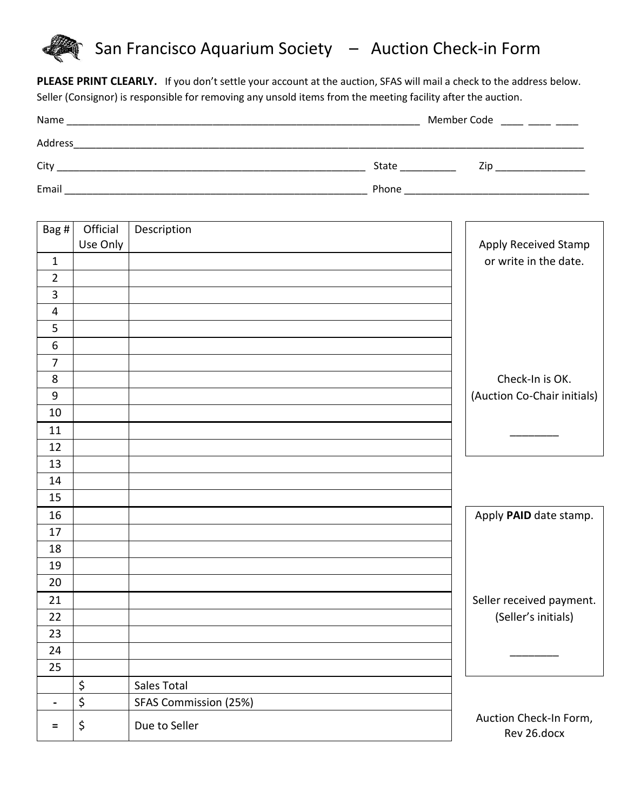# San Francisco Aquarium Society – Auction Check-in Form

**PLEASE PRINT CLEARLY.** If you don't settle your account at the auction, SFAS will mail a check to the address below. Seller (Consignor) is responsible for removing any unsold items from the meeting facility after the auction.

| Name    | Member Code |     |
|---------|-------------|-----|
| Address |             |     |
| City    | State       | Zip |
| Email   | Phone       |     |

| Bag #            | Official | Description           |                                       |
|------------------|----------|-----------------------|---------------------------------------|
|                  | Use Only |                       | Apply Received Stamp                  |
| $\mathbf 1$      |          |                       | or write in the date.                 |
| $\overline{2}$   |          |                       |                                       |
| $\overline{3}$   |          |                       |                                       |
| $\overline{4}$   |          |                       |                                       |
| 5                |          |                       |                                       |
| $6\,$            |          |                       |                                       |
| $\overline{7}$   |          |                       |                                       |
| 8                |          |                       | Check-In is OK.                       |
| $\boldsymbol{9}$ |          |                       | (Auction Co-Chair initials)           |
| 10               |          |                       |                                       |
| 11               |          |                       |                                       |
| 12               |          |                       |                                       |
| 13               |          |                       |                                       |
| 14               |          |                       |                                       |
| 15               |          |                       |                                       |
| 16               |          |                       | Apply PAID date stamp.                |
| 17               |          |                       |                                       |
| 18               |          |                       |                                       |
| 19               |          |                       |                                       |
| 20               |          |                       |                                       |
| 21               |          |                       | Seller received payment.              |
| 22               |          |                       | (Seller's initials)                   |
| 23               |          |                       |                                       |
| 24               |          |                       |                                       |
| 25               |          |                       |                                       |
|                  | \$       | Sales Total           |                                       |
| $\blacksquare$   | \$       | SFAS Commission (25%) |                                       |
| $\equiv$         | \$       | Due to Seller         | Auction Check-In Form,<br>Rev 26.docx |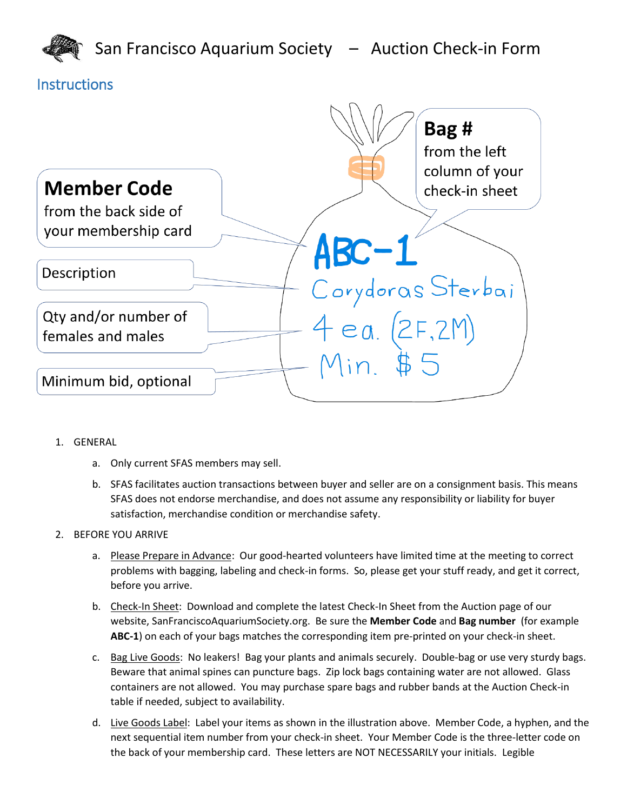

### **Instructions**



- 1. GENERAL
	- a. Only current SFAS members may sell.
	- b. SFAS facilitates auction transactions between buyer and seller are on a consignment basis. This means SFAS does not endorse merchandise, and does not assume any responsibility or liability for buyer satisfaction, merchandise condition or merchandise safety.

#### 2. BEFORE YOU ARRIVE

- a. Please Prepare in Advance: Our good-hearted volunteers have limited time at the meeting to correct problems with bagging, labeling and check-in forms. So, please get your stuff ready, and get it correct, before you arrive.
- b. Check-In Sheet: Download and complete the latest Check-In Sheet from the Auction page of our website, SanFranciscoAquariumSociety.org. Be sure the **Member Code** and **Bag number** (for example **ABC-1**) on each of your bags matches the corresponding item pre-printed on your check-in sheet.
- c. Bag Live Goods: No leakers! Bag your plants and animals securely. Double-bag or use very sturdy bags. Beware that animal spines can puncture bags. Zip lock bags containing water are not allowed. Glass containers are not allowed. You may purchase spare bags and rubber bands at the Auction Check-in table if needed, subject to availability.
- d. Live Goods Label: Label your items as shown in the illustration above. Member Code, a hyphen, and the next sequential item number from your check-in sheet. Your Member Code is the three-letter code on the back of your membership card. These letters are NOT NECESSARILY your initials. Legible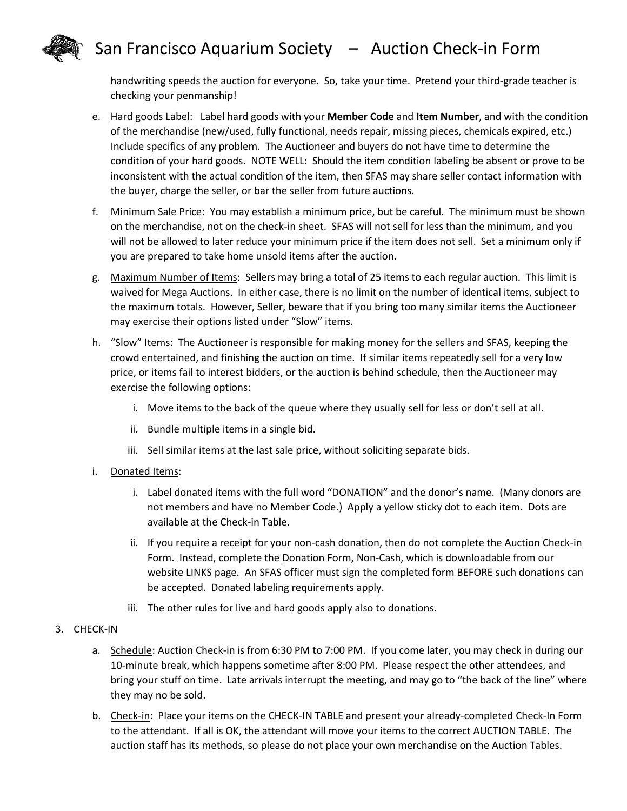## San Francisco Aquarium Society – Auction Check-in Form



handwriting speeds the auction for everyone. So, take your time. Pretend your third-grade teacher is checking your penmanship!

- e. Hard goods Label: Label hard goods with your **Member Code** and **Item Number**, and with the condition of the merchandise (new/used, fully functional, needs repair, missing pieces, chemicals expired, etc.) Include specifics of any problem. The Auctioneer and buyers do not have time to determine the condition of your hard goods. NOTE WELL: Should the item condition labeling be absent or prove to be inconsistent with the actual condition of the item, then SFAS may share seller contact information with the buyer, charge the seller, or bar the seller from future auctions.
- f. Minimum Sale Price: You may establish a minimum price, but be careful. The minimum must be shown on the merchandise, not on the check-in sheet. SFAS will not sell for less than the minimum, and you will not be allowed to later reduce your minimum price if the item does not sell. Set a minimum only if you are prepared to take home unsold items after the auction.
- g. Maximum Number of Items: Sellers may bring a total of 25 items to each regular auction. This limit is waived for Mega Auctions. In either case, there is no limit on the number of identical items, subject to the maximum totals. However, Seller, beware that if you bring too many similar items the Auctioneer may exercise their options listed under "Slow" items.
- h. "Slow" Items: The Auctioneer is responsible for making money for the sellers and SFAS, keeping the crowd entertained, and finishing the auction on time. If similar items repeatedly sell for a very low price, or items fail to interest bidders, or the auction is behind schedule, then the Auctioneer may exercise the following options:
	- i. Move items to the back of the queue where they usually sell for less or don't sell at all.
	- ii. Bundle multiple items in a single bid.
	- iii. Sell similar items at the last sale price, without soliciting separate bids.
- i. Donated Items:
	- i. Label donated items with the full word "DONATION" and the donor's name. (Many donors are not members and have no Member Code.) Apply a yellow sticky dot to each item. Dots are available at the Check-in Table.
	- ii. If you require a receipt for your non-cash donation, then do not complete the Auction Check-in Form. Instead, complete the **Donation Form, Non-Cash**, which is downloadable from our website LINKS page. An SFAS officer must sign the completed form BEFORE such donations can be accepted. Donated labeling requirements apply.
	- iii. The other rules for live and hard goods apply also to donations.
- 3. CHECK-IN
	- a. Schedule: Auction Check-in is from 6:30 PM to 7:00 PM. If you come later, you may check in during our 10-minute break, which happens sometime after 8:00 PM. Please respect the other attendees, and bring your stuff on time. Late arrivals interrupt the meeting, and may go to "the back of the line" where they may no be sold.
	- b. Check-in: Place your items on the CHECK-IN TABLE and present your already-completed Check-In Form to the attendant. If all is OK, the attendant will move your items to the correct AUCTION TABLE. The auction staff has its methods, so please do not place your own merchandise on the Auction Tables.